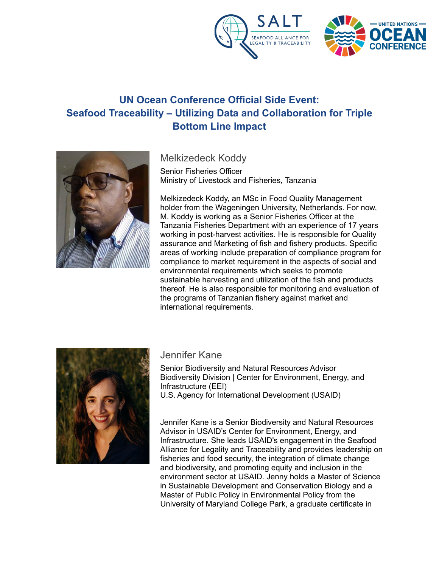



## **UN Ocean Conference Official Side Event: Seafood Traceability – Utilizing Data and Collaboration for Triple Bottom Line Impact**



Melkizedeck Koddy

Senior Fisheries Officer Ministry of Livestock and Fisheries, Tanzania

Melkizedeck Koddy, an MSc in Food Quality Management holder from the Wageningen University, Netherlands. For now, M. Koddy is working as a Senior Fisheries Officer at the Tanzania Fisheries Department with an experience of 17 years working in post-harvest activities. He is responsible for Quality assurance and Marketing of fish and fishery products. Specific areas of working include preparation of compliance program for compliance to market requirement in the aspects of social and environmental requirements which seeks to promote sustainable harvesting and utilization of the fish and products thereof. He is also responsible for monitoring and evaluation of the programs of Tanzanian fishery against market and international requirements.



## Jennifer Kane

Senior Biodiversity and Natural Resources Advisor Biodiversity Division | Center for Environment, Energy, and Infrastructure (EEI) U.S. Agency for International Development (USAID)

Jennifer Kane is a Senior Biodiversity and Natural Resources Advisor in USAID's Center for Environment, Energy, and Infrastructure. She leads USAID's engagement in the Seafood Alliance for Legality and Traceability and provides leadership on fisheries and food security, the integration of climate change and biodiversity, and promoting equity and inclusion in the environment sector at USAID. Jenny holds a Master of Science in Sustainable Development and Conservation Biology and a Master of Public Policy in Environmental Policy from the University of Maryland College Park, a graduate certificate in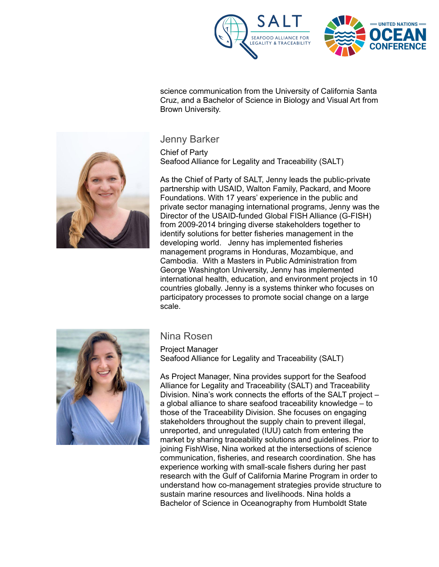



science communication from the University of California Santa Cruz, and a Bachelor of Science in Biology and Visual Art from Brown University.

## Jenny Barker

Chief of Party Seafood Alliance for Legality and Traceability (SALT)

As the Chief of Party of SALT, Jenny leads the public-private partnership with USAID, Walton Family, Packard, and Moore Foundations. With 17 years' experience in the public and private sector managing international programs, Jenny was the Director of the USAID-funded Global FISH Alliance (G-FISH) from 2009-2014 bringing diverse stakeholders together to identify solutions for better fisheries management in the developing world. Jenny has implemented fisheries management programs in Honduras, Mozambique, and Cambodia. With a Masters in Public Administration from George Washington University, Jenny has implemented international health, education, and environment projects in 10 countries globally. Jenny is a systems thinker who focuses on participatory processes to promote social change on a large scale.



## Nina Rosen

Project Manager Seafood Alliance for Legality and Traceability (SALT)

As Project Manager, Nina provides support for the Seafood Alliance for Legality and Traceability (SALT) and Traceability Division. Nina's work connects the efforts of the SALT project – a global alliance to share seafood traceability knowledge – to those of the Traceability Division. She focuses on engaging stakeholders throughout the supply chain to prevent illegal, unreported, and unregulated (IUU) catch from entering the market by sharing traceability solutions and guidelines. Prior to joining FishWise, Nina worked at the intersections of science communication, fisheries, and research coordination. She has experience working with small-scale fishers during her past research with the Gulf of California Marine Program in order to understand how co-management strategies provide structure to sustain marine resources and livelihoods. Nina holds a Bachelor of Science in Oceanography from Humboldt State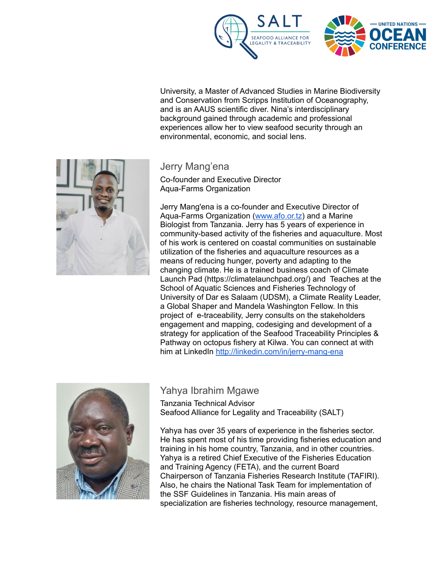

University, a Master of Advanced Studies in Marine Biodiversity and Conservation from Scripps Institution of Oceanography, and is an AAUS scientific diver. Nina's interdisciplinary background gained through academic and professional experiences allow her to view seafood security through an environmental, economic, and social lens.



Jerry Mang'ena

Co-founder and Executive Director Aqua-Farms Organization

Jerry Mang'ena is a co-founder and Executive Director of Aqua-Farms Organization [\(www.afo.or.tz](http://www.afo.or.tz)) and a Marine Biologist from Tanzania. Jerry has 5 years of experience in community-based activity of the fisheries and aquaculture. Most of his work is centered on coastal communities on sustainable utilization of the fisheries and aquaculture resources as a means of reducing hunger, poverty and adapting to the changing climate. He is a trained business coach of Climate Launch Pad (https://climatelaunchpad.org/) and Teaches at the School of Aquatic Sciences and Fisheries Technology of University of Dar es Salaam (UDSM), a Climate Reality Leader, a Global Shaper and Mandela Washington Fellow. In this project of e-traceability, Jerry consults on the stakeholders engagement and mapping, codesiging and development of a strategy for application of the Seafood Traceability Principles & Pathway on octopus fishery at Kilwa. You can connect at with him at LinkedIn <http://linkedin.com/in/jerry-mang-ena>



Yahya Ibrahim Mgawe Tanzania Technical Advisor

Seafood Alliance for Legality and Traceability (SALT)

Yahya has over 35 years of experience in the fisheries sector. He has spent most of his time providing fisheries education and training in his home country, Tanzania, and in other countries. Yahya is a retired Chief Executive of the Fisheries Education and Training Agency (FETA), and the current Board Chairperson of Tanzania Fisheries Research Institute (TAFIRI). Also, he chairs the National Task Team for implementation of the SSF Guidelines in Tanzania. His main areas of specialization are fisheries technology, resource management,